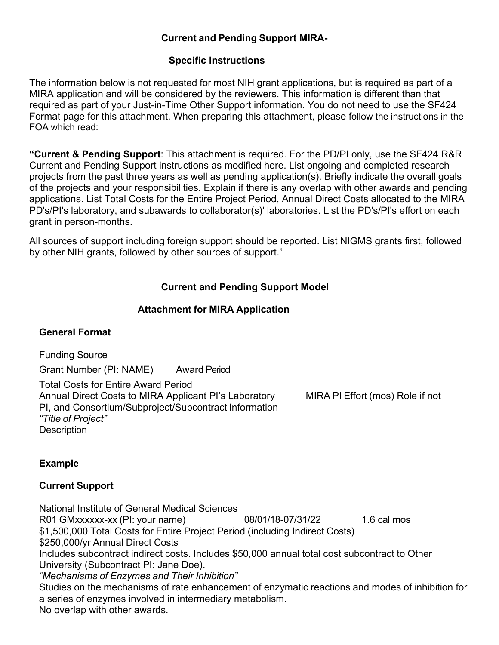#### **Current and Pending Support MIRA-**

#### **Specific Instructions**

The information below is not requested for most NIH grant applications, but is required as part of a MIRA application and will be considered by the reviewers. This information is different than that required as part of your Just-in-Time Other Support information. You do not need to use the SF424 Format page for this attachment. When preparing this attachment, please follow the instructions in the FOA which read:

**"Current & Pending Support**: This attachment is required. For the PD/PI only, use the SF424 R&R Current and Pending Support instructions as modified here. List ongoing and completed research projects from the past three years as well as pending application(s). Briefly indicate the overall goals of the projects and your responsibilities. Explain if there is any overlap with other awards and pending applications. List Total Costs for the Entire Project Period, Annual Direct Costs allocated to the MIRA PD's/PI's laboratory, and subawards to collaborator(s)' laboratories. List the PD's/PI's effort on each grant in person-months.

All sources of support including foreign support should be reported. List NIGMS grants first, followed by other NIH grants, followed by other sources of support."

# **Current and Pending Support Model**

#### **Attachment for MIRA Application**

# **General Format**

Funding Source

Grant Number (PI: NAME) Award Period

Total Costs for Entire Award Period Annual Direct Costs to MIRA Applicant PI's Laboratory MIRA PI Effort (mos) Role if not PI, and Consortium/Subproject/Subcontract Information *"Title of Project"* **Description** 

# **Example**

# **Current Support**

National Institute of General Medical Sciences R01 GMxxxxxx-xx (PI: your name) 08/01/18-07/31/22 1.6 cal mos \$1,500,000 Total Costs for Entire Project Period (including Indirect Costs) \$250,000/yr Annual Direct Costs Includes subcontract indirect costs. Includes \$50,000 annual total cost subcontract to Other University (Subcontract PI: Jane Doe). *"Mechanisms of Enzymes and Their Inhibition"* Studies on the mechanisms of rate enhancement of enzymatic reactions and modes of inhibition for a series of enzymes involved in intermediary metabolism. No overlap with other awards.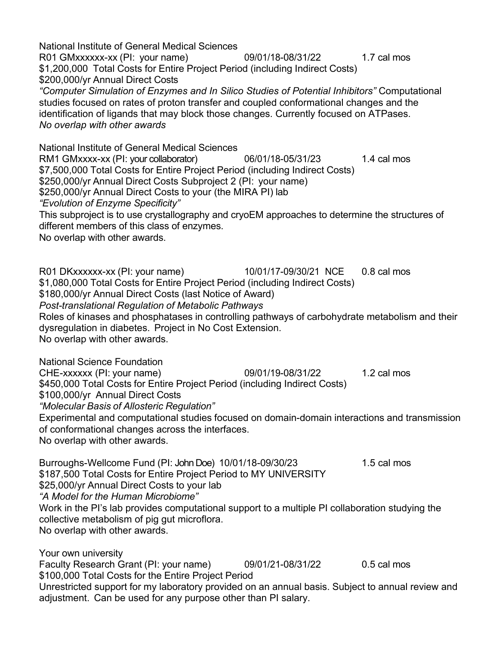National Institute of General Medical Sciences R01 GMxxxxxx-xx (PI: your name) 09/01/18-08/31/22 1.7 cal mos \$1,200,000 Total Costs for Entire Project Period (including Indirect Costs) \$200,000/yr Annual Direct Costs *"Computer Simulation of Enzymes and In Silico Studies of Potential Inhibitors"* Computational studies focused on rates of proton transfer and coupled conformational changes and the identification of ligands that may block those changes. Currently focused on ATPases. *No overlap with other awards* National Institute of General Medical Sciences RM1 GMxxxx-xx (PI: your collaborator) 06/01/18-05/31/23 1.4 cal mos \$7,500,000 Total Costs for Entire Project Period (including Indirect Costs) \$250,000/yr Annual Direct Costs Subproject 2 (PI: your name) \$250,000/yr Annual Direct Costs to your (the MIRA PI) lab *"Evolution of Enzyme Specificity"* This subproject is to use crystallography and cryoEM approaches to determine the structures of different members of this class of enzymes. No overlap with other awards. R01 DKxxxxxx-xx (PI: your name) 10/01/17-09/30/21 NCE 0.8 cal mos \$1,080,000 Total Costs for Entire Project Period (including Indirect Costs) \$180,000/yr Annual Direct Costs (last Notice of Award) *Post-translational Regulation of Metabolic Pathways* Roles of kinases and phosphatases in controlling pathways of carbohydrate metabolism and their dysregulation in diabetes. Project in No Cost Extension. No overlap with other awards. National Science Foundation CHE-xxxxxx (PI: your name) 09/01/19-08/31/22 1.2 cal mos \$450,000 Total Costs for Entire Project Period (including Indirect Costs) \$100,000/yr Annual Direct Costs *"Molecular Basis of Allosteric Regulation"* Experimental and computational studies focused on domain-domain interactions and transmission of conformational changes across the interfaces. No overlap with other awards. Burroughs-Wellcome Fund (PI: John Doe) 10/01/18-09/30/23 1.5 cal mos \$187,500 Total Costs for Entire Project Period to MY UNIVERSITY \$25,000/yr Annual Direct Costs to your lab *"A Model for the Human Microbiome"* Work in the PI's lab provides computational support to a multiple PI collaboration studying the collective metabolism of pig gut microflora. No overlap with other awards. Your own university Faculty Research Grant (PI: your name) 09/01/21-08/31/22 0.5 cal mos \$100,000 Total Costs for the Entire Project Period Unrestricted support for my laboratory provided on an annual basis. Subject to annual review and adjustment. Can be used for any purpose other than PI salary.